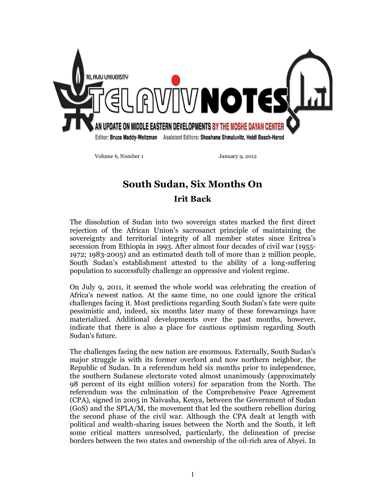

Volume 6, Number 1 January 9, 2012

## **South Sudan, Six Months On Irit Back**

The dissolution of Sudan into two sovereign states marked the first direct rejection of the African Union's sacrosanct principle of maintaining the sovereignty and territorial integrity of all member states since Eritrea's secession from Ethiopia in 1993. After almost four decades of civil war (1955- 1972; 1983-2005) and an estimated death toll of more than 2 million people, South Sudan's establishment attested to the ability of a long-suffering population to successfully challenge an oppressive and violent regime.

On July 9, 2011, it seemed the whole world was celebrating the creation of Africa's newest nation. At the same time, no one could ignore the critical challenges facing it. Most predictions regarding South Sudan's fate were quite pessimistic and, indeed, six months later many of these forewarnings have materialized. Additional developments over the past months, however, indicate that there is also a place for cautious optimism regarding South Sudan's future.

The challenges facing the new nation are enormous. Externally, South Sudan's major struggle is with its former overlord and now northern neighbor, the Republic of Sudan. In a referendum held six months prior to independence, the southern Sudanese electorate voted almost unanimously (approximately 98 percent of its eight million voters) for separation from the North. The referendum was the culmination of the Comprehensive Peace Agreement (CPA), signed in 2005 in Naivasha, Kenya, between the Government of Sudan (GoS) and the SPLA/M, the movement that led the southern rebellion during the second phase of the civil war. Although the CPA dealt at length with political and wealth-sharing issues between the North and the South, it left some critical matters unresolved, particularly, the delineation of precise borders between the two states and ownership of the oil-rich area of Abyei. In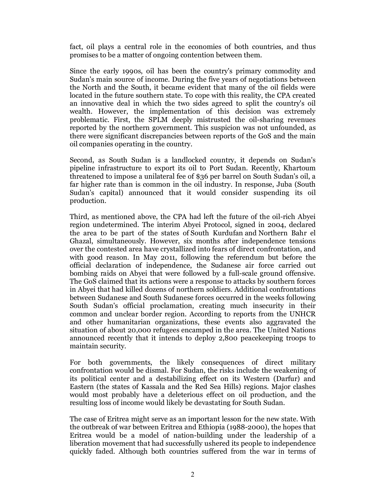fact, oil plays a central role in the economies of both countries, and thus promises to be a matter of ongoing contention between them.

Since the early 1990s, oil has been the country's primary commodity and Sudan's main source of income. During the five years of negotiations between the North and the South, it became evident that many of the oil fields were located in the future southern state. To cope with this reality, the CPA created an innovative deal in which the two sides agreed to split the country's oil wealth. However, the implementation of this decision was extremely problematic. First, the SPLM deeply mistrusted the oil-sharing revenues reported by the northern government. This suspicion was not unfounded, as there were significant discrepancies between reports of the GoS and the main oil companies operating in the country.

Second, as South Sudan is a landlocked country, it depends on Sudan's pipeline infrastructure to export its oil to Port Sudan. Recently, Khartoum threatened to impose a unilateral fee of \$36 per barrel on South Sudan's oil, a far higher rate than is common in the oil industry. In response, Juba (South Sudan's capital) announced that it would consider suspending its oil production.

Third, as mentioned above, the CPA had left the future of the oil-rich Abyei region undetermined. The interim Abyei Protocol, signed in 2004, declared the area to be part of the states of South Kurdufan and Northern Bahr el Ghazal, simultaneously. However, six months after independence tensions over the contested area have crystallized into fears of direct confrontation, and with good reason. In May 2011, following the referendum but before the official declaration of independence, the Sudanese air force carried out bombing raids on Abyei that were followed by a full-scale ground offensive. The GoS claimed that its actions were a response to attacks by southern forces in Abyei that had killed dozens of northern soldiers. Additional confrontations between Sudanese and South Sudanese forces occurred in the weeks following South Sudan's official proclamation, creating much insecurity in their common and unclear border region. According to reports from the UNHCR and other humanitarian organizations, these events also aggravated the situation of about 20,000 refugees encamped in the area. The United Nations announced recently that it intends to deploy 2,800 peacekeeping troops to maintain security.

For both governments, the likely consequences of direct military confrontation would be dismal. For Sudan, the risks include the weakening of its political center and a destabilizing effect on its Western (Darfur) and Eastern (the states of Kassala and the Red Sea Hills) regions. Major clashes would most probably have a deleterious effect on oil production, and the resulting loss of income would likely be devastating for South Sudan.

The case of Eritrea might serve as an important lesson for the new state. With the outbreak of war between Eritrea and Ethiopia (1988-2000), the hopes that Eritrea would be a model of nation-building under the leadership of a liberation movement that had successfully ushered its people to independence quickly faded. Although both countries suffered from the war in terms of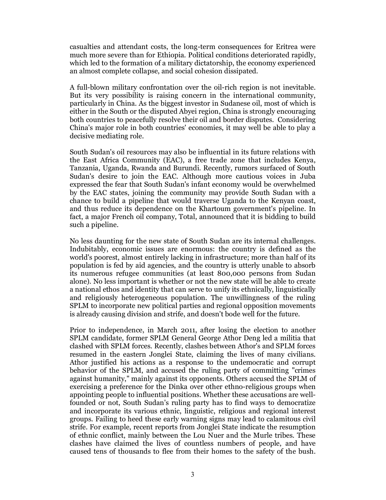casualties and attendant costs, the long-term consequences for Eritrea were much more severe than for Ethiopia. Political conditions deteriorated rapidly, which led to the formation of a military dictatorship, the economy experienced an almost complete collapse, and social cohesion dissipated.

A full-blown military confrontation over the oil-rich region is not inevitable. But its very possibility is raising concern in the international community, particularly in China. As the biggest investor in Sudanese oil, most of which is either in the South or the disputed Abyei region, China is strongly encouraging both countries to peacefully resolve their oil and border disputes. Considering China's major role in both countries' economies, it may well be able to play a decisive mediating role.

South Sudan's oil resources may also be influential in its future relations with the East Africa Community (EAC), a free trade zone that includes Kenya, Tanzania, Uganda, Rwanda and Burundi. Recently, rumors surfaced of South Sudan's desire to join the EAC. Although more cautious voices in Juba expressed the fear that South Sudan's infant economy would be overwhelmed by the EAC states, joining the community may provide South Sudan with a chance to build a pipeline that would traverse Uganda to the Kenyan coast, and thus reduce its dependence on the Khartoum government's pipeline. In fact, a major French oil company, Total, announced that it is bidding to build such a pipeline.

No less daunting for the new state of South Sudan are its internal challenges. Indubitably, economic issues are enormous: the country is defined as the world's poorest, almost entirely lacking in infrastructure; more than half of its population is fed by aid agencies, and the country is utterly unable to absorb its numerous refugee communities (at least 800,000 persons from Sudan alone). No less important is whether or not the new state will be able to create a national ethos and identity that can serve to unify its ethnically, linguistically and religiously heterogeneous population. The unwillingness of the ruling SPLM to incorporate new political parties and regional opposition movements is already causing division and strife, and doesn't bode well for the future.

Prior to independence, in March 2011, after losing the election to another SPLM candidate, former SPLM General George Athor Deng led a militia that clashed with SPLM forces. Recently, clashes between Athor's and SPLM forces resumed in the eastern Jonglei State, claiming the lives of many civilians. Athor justified his actions as a response to the undemocratic and corrupt behavior of the SPLM, and accused the ruling party of committing "crimes against humanity," mainly against its opponents. Others accused the SPLM of exercising a preference for the Dinka over other ethno-religious groups when appointing people to influential positions. Whether these accusations are wellfounded or not, South Sudan's ruling party has to find ways to democratize and incorporate its various ethnic, linguistic, religious and regional interest groups. Failing to heed these early warning signs may lead to calamitous civil strife. For example, recent reports from Jonglei State indicate the resumption of ethnic conflict, mainly between the Lou Nuer and the Murle tribes. These clashes have claimed the lives of countless numbers of people, and have caused tens of thousands to flee from their homes to the safety of the bush.